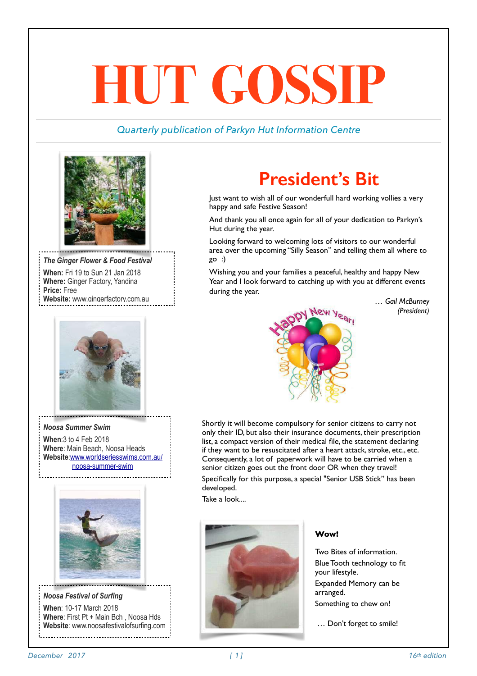# **HUT GOSSIP**

### *Quarterly publication of Parkyn Hut Information Centre*



*The Ginger Flower & Food Festival*  **When:** Fri 19 to Sun 21 Jan 2018 **Where:** Ginger Factory, Yandina **Price:** Free **Website:** [www.gingerfactory.com.au](http://www.gingerfactory.com.au/)



*Noosa Summer Swim*  **When**:3 to 4 Feb 2018 **Where**: Main Beach, Noosa Heads **Website**[:www.worldseriesswims.com.au/](http://www.worldseriesswims.com.au/noosa-summer-swim) [noosa-summer-swim](http://www.worldseriesswims.com.au/noosa-summer-swim)



*Noosa Festival of Surfing*  **When**: 10-17 March 2018 **Where**: First Pt + Main Bch , Noosa Hds **Website**: [www.noosafestivalofsurfing.com](http://www.noosafestivalofsurfing.com/)

# **President's Bit**

Just want to wish all of our wonderfull hard working vollies a very happy and safe Festive Season!

And thank you all once again for all of your dedication to Parkyn's Hut during the year.

Looking forward to welcoming lots of visitors to our wonderful area over the upcoming "Silly Season" and telling them all where to go :)

Wishing you and your families a peaceful, healthy and happy New Year and I look forward to catching up with you at different events during the year.

> *… Gail McBurney (President)*



Shortly it will become compulsory for senior citizens to carry not only their ID, but also their insurance documents, their prescription list, a compact version of their medical file, the statement declaring if they want to be resuscitated after a heart attack, stroke, etc., etc. Consequently, a lot of paperwork will have to be carried when a senior citizen goes out the front door OR when they travel! Specifically for this purpose, a special "Senior USB Stick" has been developed.

Take a look....



### **Wow!**

Two Bites of information. Blue Tooth technology to fit your lifestyle.

Expanded Memory can be arranged.

Something to chew on!

… Don't forget to smile!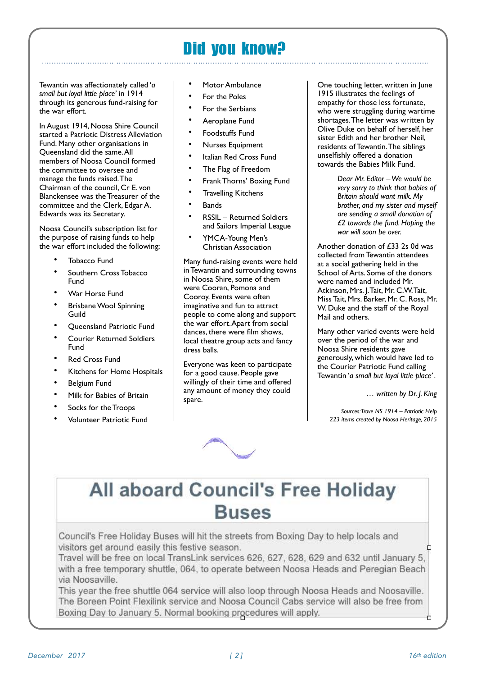### Did you know?

Tewantin was affectionately called '*a small but loyal little place'* in 1914 through its generous fund-raising for the war effort.

In August 1914, Noosa Shire Council started a Patriotic Distress Alleviation Fund. Many other organisations in Queensland did the same. All members of Noosa Council formed the committee to oversee and manage the funds raised. The Chairman of the council, Cr E. von Blanckensee was the Treasurer of the committee and the Clerk, Edgar A. Edwards was its Secretary.

Noosa Council's subscription list for the purpose of raising funds to help the war effort included the following;

- Tobacco Fund
- Southern Cross Tobacco Fund
- War Horse Fund
- Brisbane Wool Spinning Guild
- Queensland Patriotic Fund
- Courier Returned Soldiers Fund
- **Red Cross Fund**
- Kitchens for Home Hospitals
- Belgium Fund
- Milk for Babies of Britain
- Socks for the Troops
- Volunteer Patriotic Fund
- Motor Ambulance
- For the Poles
- For the Serbians
- Aeroplane Fund
- Foodstuffs Fund
- Nurses Equipment
- Italian Red Cross Fund
- The Flag of Freedom
- Frank Thorns' Boxing Fund
- **Travelling Kitchens**
- **Bands**
- RSSIL Returned Soldiers and Sailors Imperial League
- YMCA-Young Men's Christian Association

Many fund-raising events were held in Tewantin and surrounding towns in Noosa Shire, some of them were Cooran, Pomona and Cooroy. Events were often imaginative and fun to attract people to come along and support the war effort. Apart from social dances, there were film shows, local theatre group acts and fancy dress balls.

Everyone was keen to participate for a good cause. People gave willingly of their time and offered any amount of money they could spare.

One touching letter, written in June 1915 illustrates the feelings of empathy for those less fortunate, who were struggling during wartime shortages. The letter was written by Olive Duke on behalf of herself, her sister Edith and her brother Neil, residents of Tewantin. The siblings unselfishly offered a donation towards the Babies Milk Fund.

> *Dear Mr. Editor – We would be very sorry to think that babies of Britain should want milk. My brother, and my sister and myself are sending a small donation of £2 towards the fund. Hoping the war will soon be over.*

Another donation of £33 2s 0d was collected from Tewantin attendees at a social gathering held in the School of Arts. Some of the donors were named and included Mr. Atkinson, Mrs. J. Tait, Mr. C.W. Tait, Miss Tait, Mrs. Barker, Mr. C. Ross, Mr. W. Duke and the staff of the Royal Mail and others.

Many other varied events were held over the period of the war and Noosa Shire residents gave generously, which would have led to the Courier Patriotic Fund calling Tewantin '*a small but loyal little place' .*

… *written by Dr. J. King*

*Sources: Trove NS 1914 – Patriotic Help 223 items created by Noosa Heritage, 2015*



# All aboard Council's Free Holiday **Buses**

Council's Free Holiday Buses will hit the streets from Boxing Day to help locals and visitors get around easily this festive season.

Travel will be free on local TransLink services 626, 627, 628, 629 and 632 until January 5, with a free temporary shuttle, 064, to operate between Noosa Heads and Peregian Beach via Noosaville.

This year the free shuttle 064 service will also loop through Noosa Heads and Noosaville. The Boreen Point Flexilink service and Noosa Council Cabs service will also be free from Boxing Day to January 5. Normal booking procedures will apply.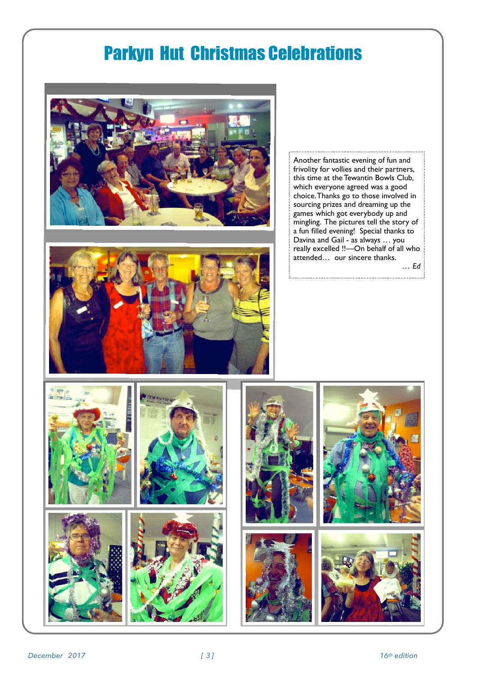## Parkyn Hut Christmas Celebrations





Another fantastic evening of fun and frivolity for vollies and their partners, this time at the Tewantin Bowls Club, which everyone agreed was a good choice. Thanks go to those involved in sourcing prizes and dreaming up the games which got everybody up and mingling. The pictures tell the story of a fun filled evening! Special thanks to Davina and Gail - as always … you really excelled !!—On behalf of all who attended… our sincere thanks.

*… Ed*

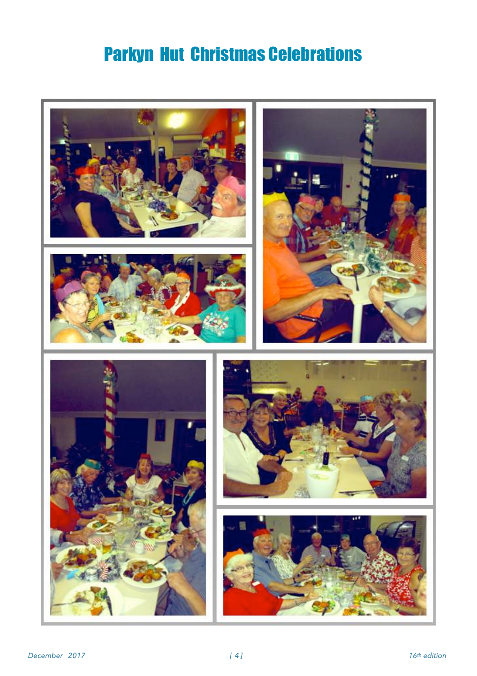# Parkyn Hut Christmas Celebrations

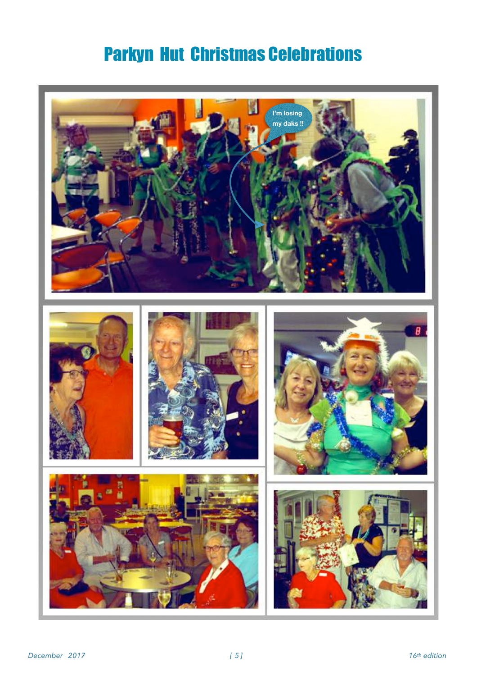# Parkyn Hut Christmas Celebrations

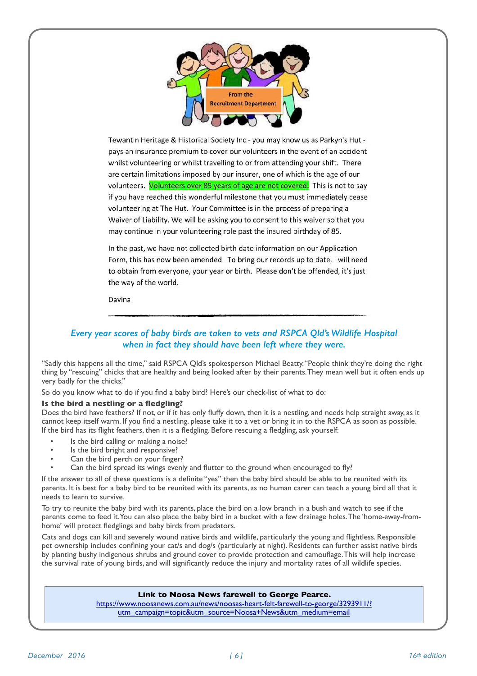

Tewantin Heritage & Historical Society Inc - you may know us as Parkyn's Hut pays an insurance premium to cover our volunteers in the event of an accident whilst volunteering or whilst travelling to or from attending your shift. There are certain limitations imposed by our insurer, one of which is the age of our volunteers. Volunteers over 85 years of age are not covered. This is not to say if you have reached this wonderful milestone that you must immediately cease volunteering at The Hut. Your Committee is in the process of preparing a Waiver of Liability. We will be asking you to consent to this waiver so that you may continue in your volunteering role past the insured birthday of 85.

In the past, we have not collected birth date information on our Application Form, this has now been amended. To bring our records up to date, I will need to obtain from everyone, your year or birth. Please don't be offended, it's just the way of the world.

Davina

### *Every year scores of baby birds are taken to vets and RSPCA Qld's Wildlife Hospital when in fact they should have been left where they were.*

"Sadly this happens all the time," said RSPCA Qld's spokesperson Michael Beatty. "People think they're doing the right thing by "rescuing" chicks that are healthy and being looked after by their parents. They mean well but it often ends up very badly for the chicks."

So do you know what to do if you find a baby bird? Here's our check-list of what to do:

### **Is the bird a nestling or a fledgling?**

Does the bird have feathers? If not, or if it has only fluffy down, then it is a nestling, and needs help straight away, as it cannot keep itself warm. If you find a nestling, please take it to a vet or bring it in to the RSPCA as soon as possible. If the bird has its flight feathers, then it is a fledgling. Before rescuing a fledgling, ask yourself:

- Is the bird calling or making a noise?
- Is the bird bright and responsive?
- Can the bird perch on your finger?
- Can the bird spread its wings evenly and flutter to the ground when encouraged to fly?

If the answer to all of these questions is a definite "yes" then the baby bird should be able to be reunited with its parents. It is best for a baby bird to be reunited with its parents, as no human carer can teach a young bird all that it needs to learn to survive.

To try to reunite the baby bird with its parents, place the bird on a low branch in a bush and watch to see if the parents come to feed it. You can also place the baby bird in a bucket with a few drainage holes. The 'home-away-fromhome' will protect fledglings and baby birds from predators.

Cats and dogs can kill and severely wound native birds and wildlife, particularly the young and flightless. Responsible pet ownership includes confining your cat/s and dog/s (particularly at night). Residents can further assist native birds by planting bushy indigenous shrubs and ground cover to provide protection and camouflage. This will help increase the survival rate of young birds, and will significantly reduce the injury and mortality rates of all wildlife species.

### **Link to Noosa News farewell to George Pearce.**

[https://www.noosanews.com.au/news/noosas-heart-felt-farewell-to-george/3293911/?](https://www.noosanews.com.au/news/noosas-heart-felt-farewell-to-george/3293911/?utm_campaign=topic&utm_source=Noosa+News&utm_medium=email) [utm\\_campaign=topic&utm\\_source=Noosa+News&utm\\_medium=email](https://www.noosanews.com.au/news/noosas-heart-felt-farewell-to-george/3293911/?utm_campaign=topic&utm_source=Noosa+News&utm_medium=email)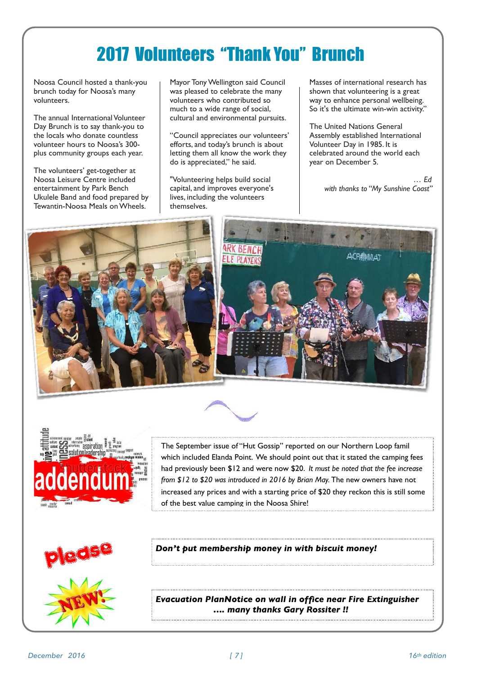# 2017 Volunteers "Thank You" Brunch

Noosa Council hosted a thank-you brunch today for Noosa's many volunteers.

The annual International Volunteer Day Brunch is to say thank-you to the locals who donate countless volunteer hours to Noosa's 300 plus community groups each year.

The volunteers' get-together at Noosa Leisure Centre included entertainment by Park Bench Ukulele Band and food prepared by Tewantin-Noosa Meals on Wheels.

Mayor Tony Wellington said Council was pleased to celebrate the many volunteers who contributed so much to a wide range of social, cultural and environmental pursuits.

"Council appreciates our volunteers' efforts, and today's brunch is about letting them all know the work they do is appreciated," he said.

"Volunteering helps build social capital, and improves everyone's lives, including the volunteers themselves.

Masses of international research has shown that volunteering is a great way to enhance personal wellbeing. So it's the ultimate win-win activity."

The United Nations General Assembly established International Volunteer Day in 1985. It is celebrated around the world each year on December 5.

> *… Ed with thanks to "My Sunshine Coast"*







The September issue of "Hut Gossip" reported on our Northern Loop famil which included Elanda Point. We should point out that it stated the camping fees had previously been \$12 and were now \$20. *It must be noted that the fee increase from \$12 to \$20 was introduced in 2016 by Brian May.* The new owners have not increased any prices and with a starting price of \$20 they reckon this is still some of the best value camping in the Noosa Shire!



*Don't put membership money in with biscuit money!*

*Evacuation PlanNotice on wall in office near Fire Extinguisher …. many thanks Gary Rossiter !!*